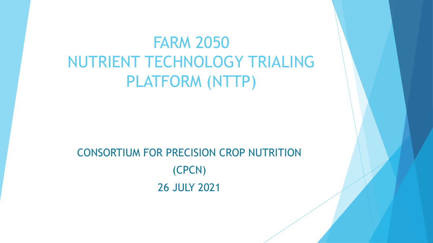# FARM 2050 NUTRIENT TECHNOLOGY TRIALING PLATFORM (NTTP)

# CONSORTIUM FOR PRECISION CROP NUTRITION (CPCN) 26 JULY 2021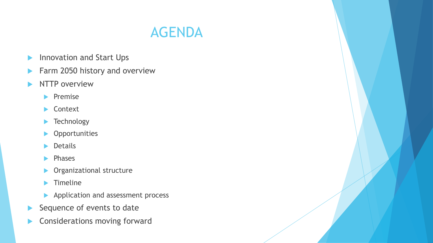

- **Innovation and Start Ups**
- **Farm 2050 history and overview**
- $\blacktriangleright$  NTTP overview
	- $\blacktriangleright$  Premise
	- ▶ Context
	- **Technology**
	- **Opportunities**
	- Details
	- $\blacktriangleright$  Phases
	- **Dividendizational structure**
	- $\blacktriangleright$  Timeline
	- Application and assessment process
- $\blacktriangleright$  Sequence of events to date
- **Considerations moving forward**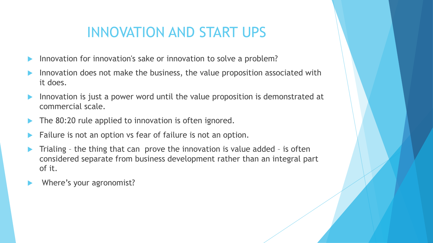# INNOVATION AND START UPS

- Innovation for innovation's sake or innovation to solve a problem?
- Innovation does not make the business, the value proposition associated with it does.
- Innovation is just a power word until the value proposition is demonstrated at commercial scale.
- The 80:20 rule applied to innovation is often ignored.
- Failure is not an option vs fear of failure is not an option.
- Trialing the thing that can prove the innovation is value added is often considered separate from business development rather than an integral part of it.
- Where's your agronomist?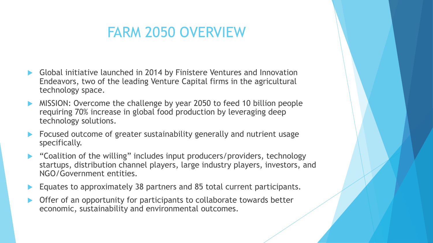# FARM 2050 OVERVIEW

- Global initiative launched in 2014 by Finistere Ventures and Innovation Endeavors, two of the leading Venture Capital firms in the agricultural technology space.
- MISSION: Overcome the challenge by year 2050 to feed 10 billion people requiring 70% increase in global food production by leveraging deep technology solutions.
- Focused outcome of greater sustainability generally and nutrient usage specifically.
- "Coalition of the willing" includes input producers/providers, technology startups, distribution channel players, large industry players, investors, and NGO/Government entities.
- Equates to approximately 38 partners and 85 total current participants.
- Offer of an opportunity for participants to collaborate towards better economic, sustainability and environmental outcomes.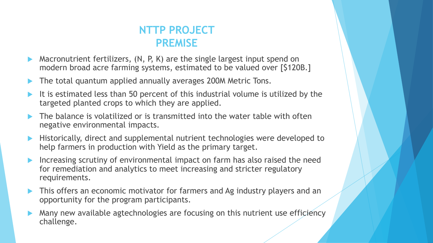

- Macronutrient fertilizers, (N, P, K) are the single largest input spend on modern broad acre farming systems, estimated to be valued over [\$120B.]
- The total quantum applied annually averages 200M Metric Tons.
- It is estimated less than 50 percent of this industrial volume is utilized by the targeted planted crops to which they are applied.
- The balance is volatilized or is transmitted into the water table with often negative environmental impacts.
- **Historically, direct and supplemental nutrient technologies were developed to** help farmers in production with Yield as the primary target.
- Increasing scrutiny of environmental impact on farm has also raised the need for remediation and analytics to meet increasing and stricter regulatory requirements.
- This offers an economic motivator for farmers and Ag industry players and an opportunity for the program participants.
- Many new available agtechnologies are focusing on this nutrient use efficiency challenge.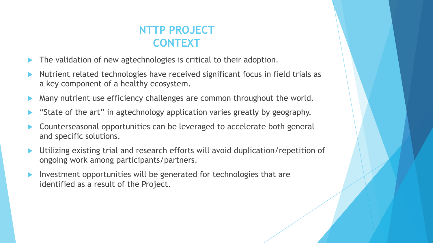

- The validation of new agtechnologies is critical to their adoption.
- Nutrient related technologies have received significant focus in field trials as a key component of a healthy ecosystem.
- Many nutrient use efficiency challenges are common throughout the world.
- "State of the art" in agtechnology application varies greatly by geography.
- Counterseasonal opportunities can be leveraged to accelerate both general and specific solutions.
- Utilizing existing trial and research efforts will avoid duplication/repetition of ongoing work among participants/partners.
- Investment opportunities will be generated for technologies that are identified as a result of the Project.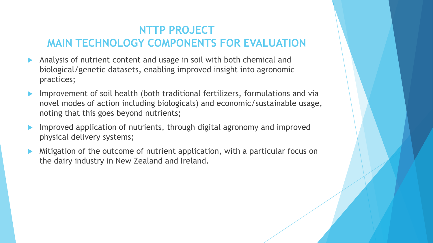## **NTTP PROJECT MAIN TECHNOLOGY COMPONENTS FOR EVALUATION**

- Analysis of nutrient content and usage in soil with both chemical and biological/genetic datasets, enabling improved insight into agronomic practices;
- Improvement of soil health (both traditional fertilizers, formulations and via novel modes of action including biologicals) and economic/sustainable usage, noting that this goes beyond nutrients;
- Improved application of nutrients, through digital agronomy and improved physical delivery systems;
- Mitigation of the outcome of nutrient application, with a particular focus on the dairy industry in New Zealand and Ireland.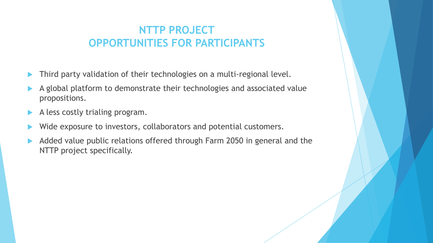### **NTTP PROJECT OPPORTUNITIES FOR PARTICIPANTS**

- Third party validation of their technologies on a multi-regional level.
- A global platform to demonstrate their technologies and associated value propositions.
- A less costly trialing program.
- Wide exposure to investors, collaborators and potential customers.
- Added value public relations offered through Farm 2050 in general and the NTTP project specifically.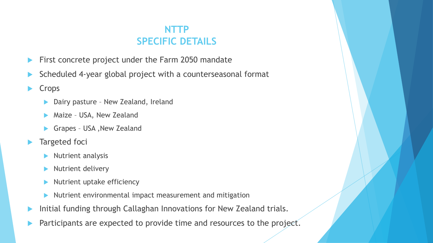### **NTTP SPECIFIC DETAILS**

- First concrete project under the Farm 2050 mandate
- Scheduled 4-year global project with a counterseasonal format
- Crops
	- Dairy pasture New Zealand, Ireland
	- Maize USA, New Zealand
	- Grapes USA ,New Zealand
- **Targeted foci** 
	- $\blacktriangleright$  Nutrient analysis
	- $\blacktriangleright$  Nutrient delivery
	- Nutrient uptake efficiency
	- Nutrient environmental impact measurement and mitigation
- **Initial funding through Callaghan Innovations for New Zealand trials.**
- Participants are expected to provide time and resources to the project.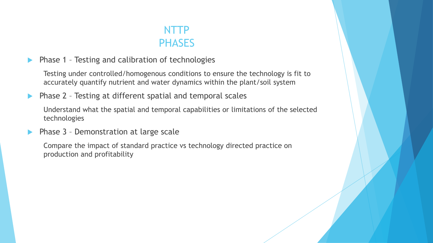## NTTP **PHASES**

**Phase 1 - Testing and calibration of technologies** 

Testing under controlled/homogenous conditions to ensure the technology is fit to accurately quantify nutrient and water dynamics within the plant/soil system

**Phase 2** - Testing at different spatial and temporal scales

Understand what the spatial and temporal capabilities or limitations of the selected technologies

**Phase 3 - Demonstration at large scale** 

Compare the impact of standard practice vs technology directed practice on production and profitability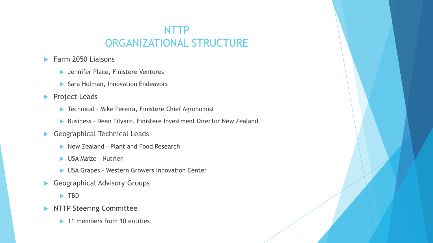## NTTP ORGANIZATIONAL STRUCTURE

### Farm 2050 Liaisons

- **Dennifer Place, Finistere Ventures**
- Sara Holman, Innovation Endeavors
- **Project Leads** 
	- ▶ Technical Mike Pereira, Finistere Chief Agronomist
	- Business Dean Tilyard, Finistere Investment Director New Zealand
- Geographical Technical Leads
	- New Zealand Plant and Food Research
	- ▶ USA Maize Nutrien
	- ▶ USA Grapes Western Growers Innovation Center
- Geographical Advisory Groups
	- **F** TBD
- **NTTP Steering Committee** 
	- ▶ 11 members from 10 entities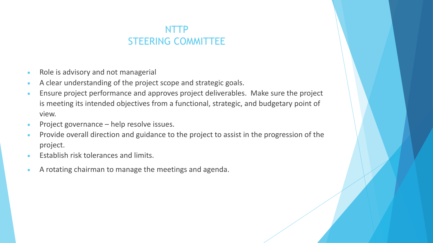### NTTP STEERING COMMITTEE

- Role is advisory and not managerial
- A clear understanding of the project scope and strategic goals.
- Ensure project performance and approves project deliverables. Make sure the project is meeting its intended objectives from a functional, strategic, and budgetary point of view.
- Project governance help resolve issues.
- Provide overall direction and guidance to the project to assist in the progression of the project.
- Establish risk tolerances and limits.
- A rotating chairman to manage the meetings and agenda.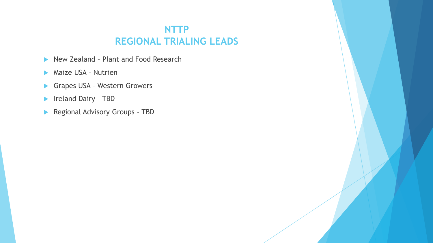### **NTTP REGIONAL TRIALING LEADS**

- ▶ New Zealand Plant and Food Research
- **Maize USA Nutrien**
- Grapes USA Western Growers
- **Ireland Dairy TBD**
- Regional Advisory Groups TBD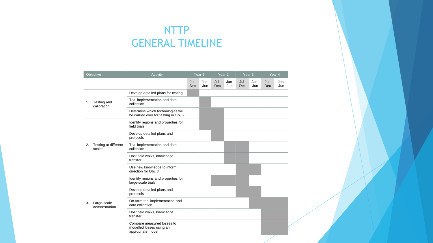## NTTP GENERAL TIMELINE

| Objective |                                | Activity                                                                    |             | Year 1      | Year <sub>2</sub> |             | Year <sub>3</sub> |             | Year 4      |             |
|-----------|--------------------------------|-----------------------------------------------------------------------------|-------------|-------------|-------------------|-------------|-------------------|-------------|-------------|-------------|
|           |                                |                                                                             | Jul-<br>Dec | Jan-<br>Jun | Jul-<br>Dec       | Jan-<br>Jun | Jul-<br>Dec       | Jan-<br>Jun | Jul-<br>Dec | Jan-<br>Jun |
| 1.        | Testing and<br>calibration     | Develop detailed plans for testing                                          |             |             |                   |             |                   |             |             |             |
|           |                                | Trial implementation and data<br>collection                                 |             |             |                   |             |                   |             |             |             |
|           |                                | Determine which technologies will<br>be carried over for testing in Obj. 2  |             |             |                   |             |                   |             |             |             |
| 2.        | Testing at different<br>scales | Identify regions and properties for<br>field trials                         |             |             |                   |             |                   |             |             |             |
|           |                                | Develop detailed plans and<br>protocols                                     |             |             |                   |             |                   |             |             |             |
|           |                                | Trial implementation and data<br>collection                                 |             |             |                   |             |                   |             |             |             |
|           |                                | Host field walks, knowledge<br>transfer                                     |             |             |                   |             |                   |             |             |             |
|           |                                | Use new knowledge to inform<br>direction for Obj. 3                         |             |             |                   |             |                   |             |             |             |
| 3.        | Large-scale<br>demonstration   | Identify regions and properties for<br>large-scale trials                   |             |             |                   |             |                   |             |             |             |
|           |                                | Develop detailed plans and<br>protocols                                     |             |             |                   |             |                   |             |             |             |
|           |                                | On-farm trial implementation and<br>data collection                         |             |             |                   |             |                   |             |             |             |
|           |                                | Host field walks, knowledge<br>transfer                                     |             |             |                   |             |                   |             |             |             |
|           |                                | Compare measured losses to<br>modelled losses using an<br>appropriate model |             |             |                   |             |                   |             |             |             |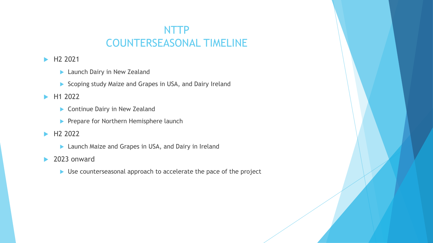## NTTP COUNTERSEASONAL TIMELINE

### H2 2021

- **Launch Dairy in New Zealand**
- Scoping study Maize and Grapes in USA, and Dairy Ireland

### H1 2022

- Continue Dairy in New Zealand
- Prepare for Northern Hemisphere launch

#### H2 2022

**Launch Maize and Grapes in USA, and Dairy in Ireland** 

#### ▶ 2023 onward

▶ Use counterseasonal approach to accelerate the pace of the project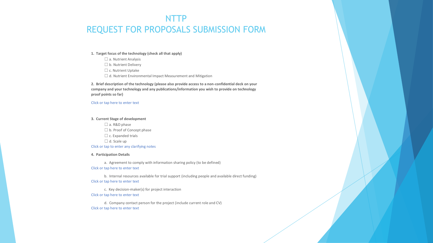### NTTP REQUEST FOR PROPOSALS SUBMISSION FORM

#### **1. Target focus of the technology (check all that apply)**

□ a. Nutrient Analysis □ b. Nutrient Delivery □ c. Nutrient Uptake □ d. Nutrient Environmental Impact Measurement and Mitigation

**2. Brief description of the technology (please also provide access to a non-confidential deck on your company and your technology and any publications/information you wish to provide on technology proof points so far)**

#### Click or tap here to enter text

#### **3. Current Stage of development**

☐ a. R&D phase □ b. Proof of Concept phase  $\Box$  c. Expanded trials  $\Box$  d. Scale up Click or tap to enter any clarifying notes

#### **4. Participation Details**

a. Agreement to comply with information sharing policy (to be defined)

#### Click or tap here to enter text

b. Internal resources available for trial support (including people and available direct funding) Click or tap here to enter text

c. Key decision-maker(s) for project interaction Click or tap here to enter text

d. Company contact person for the project (include current role and CV) Click or tap here to enter text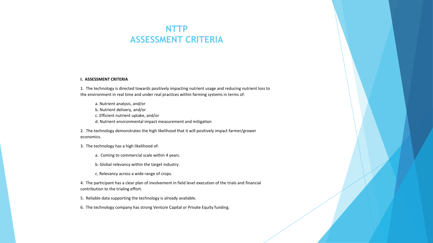### **NTTP ASSESSMENT CRITERIA**

#### **I. ASSESSMENT CRITERIA**

1. The technology is directed towards positively impacting nutrient usage and reducing nutrient loss to the environment in real time and under real practices within farming systems in terms of:

a. Nutrient analysis, and/or b. Nutrient delivery, and/or c. Efficient nutrient uptake, and/or d. Nutrient environmental impact measurement and mitigation

2. The technology demonstrates the high likelihood that it will positively impact farmer/grower economics.

- 3. The technology has a high likelihood of:
	- a. Coming to commercial scale within 4 years.
	- b. Global relevancy within the target industry.
	- c. Relevancy across a wide range of crops.

4. The participant has a clear plan of involvement in field level execution of the trials and financial contribution to the trialing effort.

- 5. Reliable data supporting the technology is already available.
- 6. The technology company has strong Venture Capital or Private Equity funding.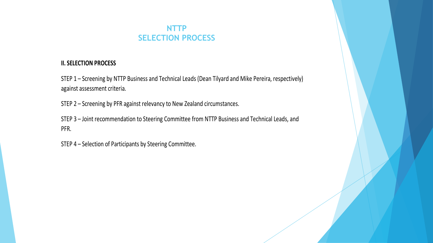### **NTTP SELECTION PROCESS**

#### **II. SELECTION PROCESS**

STEP 1 – Screening by NTTP Business and Technical Leads (Dean Tilyard and Mike Pereira, respectively) against assessment criteria.

STEP 2 – Screening by PFR against relevancy to New Zealand circumstances.

STEP 3 – Joint recommendation to Steering Committee from NTTP Business and Technical Leads, and PFR.

STEP 4 – Selection of Participants by Steering Committee.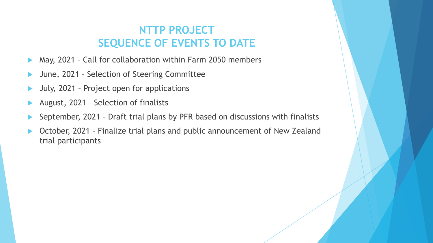## **NTTP PROJECT SEQUENCE OF EVENTS TO DATE**

- May, 2021 Call for collaboration within Farm 2050 members
- June, 2021 Selection of Steering Committee
- July, 2021 Project open for applications
- August, 2021 Selection of finalists
- September, 2021 Draft trial plans by PFR based on discussions with finalists
- October, 2021 Finalize trial plans and public announcement of New Zealand trial participants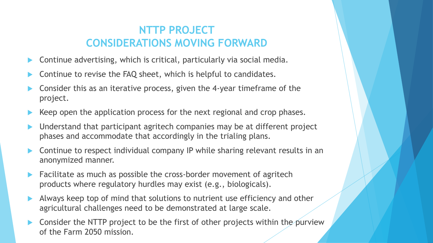## **NTTP PROJECT CONSIDERATIONS MOVING FORWARD**

- Continue advertising, which is critical, particularly via social media.
- Continue to revise the FAQ sheet, which is helpful to candidates.
- Consider this as an iterative process, given the 4-year timeframe of the project.
- Keep open the application process for the next regional and crop phases.
- Understand that participant agritech companies may be at different project phases and accommodate that accordingly in the trialing plans.
- Continue to respect individual company IP while sharing relevant results in an anonymized manner.
- Facilitate as much as possible the cross-border movement of agritech products where regulatory hurdles may exist (e.g., biologicals).
- Always keep top of mind that solutions to nutrient use efficiency and other agricultural challenges need to be demonstrated at large scale.
- Consider the NTTP project to be the first of other projects within the purview of the Farm 2050 mission.